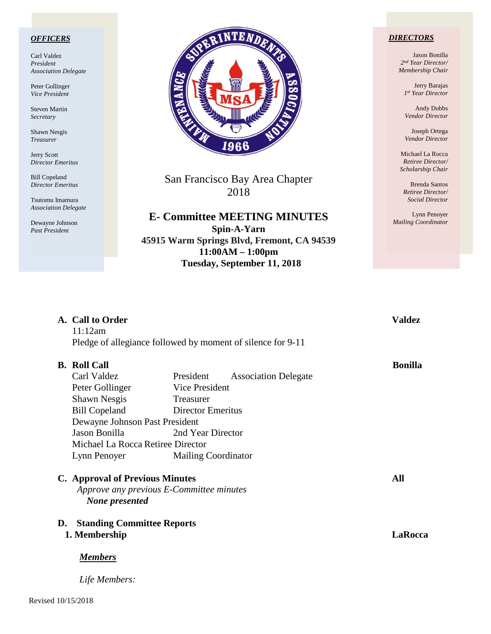### *OFFICERS*

Carl Valdez *President Association Delegate*

Peter Gollinger *Vice President*

Steven Martin *Secretary*

Shawn Nesgis *Treasurer*

Jerry Scott *Director Emeritus*

Bill Copeland *Director Emeritus*

Tsutomu Imamura *Association Delegate*

Dewayne Johnson *Past President*



San Francisco Bay Area Chapter 2018

**E- Committee MEETING MINUTES Spin-A-Yarn 45915 Warm Springs Blvd, Fremont, CA 94539 11:00AM – 1:00pm Tuesday, September 11, 2018**

### *DIRECTORS*

Jason Bonilla *2nd Year Director/ Membership Chair*

> Jerry Barajas *1st Year Director*

Andy Dobbs *Vendor Director*

Joseph Ortega *Vendor Director*

Michael La Rocca *Retiree Director/ Scholarship Chair*

Brenda Santos *Retiree Director/ Social Director*

Lynn Penoyer *Mailing Coordinator*

| 11:12am<br><b>B.</b> Roll Call<br>Carl Valdez<br>Peter Gollinger<br><b>Shawn Nesgis</b><br><b>Bill Copeland</b> | Pledge of allegiance followed by moment of silence for 9-11<br>President<br><b>Association Delegate</b><br>Vice President<br>Treasurer<br><b>Director Emeritus</b> | <b>Bonilla</b>                                                                                                   |
|-----------------------------------------------------------------------------------------------------------------|--------------------------------------------------------------------------------------------------------------------------------------------------------------------|------------------------------------------------------------------------------------------------------------------|
|                                                                                                                 |                                                                                                                                                                    |                                                                                                                  |
|                                                                                                                 |                                                                                                                                                                    |                                                                                                                  |
|                                                                                                                 |                                                                                                                                                                    |                                                                                                                  |
|                                                                                                                 |                                                                                                                                                                    |                                                                                                                  |
|                                                                                                                 |                                                                                                                                                                    |                                                                                                                  |
|                                                                                                                 |                                                                                                                                                                    |                                                                                                                  |
|                                                                                                                 | Dewayne Johnson Past President                                                                                                                                     |                                                                                                                  |
| Jason Bonilla                                                                                                   | 2nd Year Director                                                                                                                                                  |                                                                                                                  |
|                                                                                                                 |                                                                                                                                                                    |                                                                                                                  |
|                                                                                                                 | <b>Mailing Coordinator</b>                                                                                                                                         |                                                                                                                  |
|                                                                                                                 |                                                                                                                                                                    |                                                                                                                  |
| Approve any previous E-Committee minutes<br>None presented                                                      |                                                                                                                                                                    |                                                                                                                  |
|                                                                                                                 |                                                                                                                                                                    | <b>LaRocca</b>                                                                                                   |
| 1. Membership                                                                                                   |                                                                                                                                                                    |                                                                                                                  |
|                                                                                                                 | Lynn Penoyer<br><b>Members</b>                                                                                                                                     | Michael La Rocca Retiree Director<br><b>C.</b> Approval of Previous Minutes<br><b>Standing Committee Reports</b> |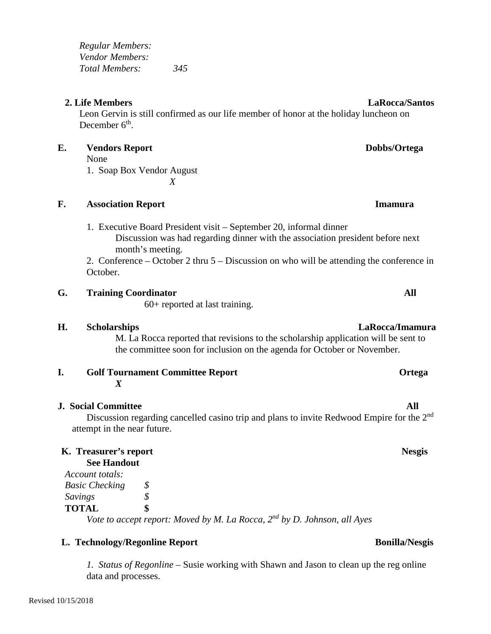*Regular Members: Vendor Members: Total Members: 345*

## **2. Life Members LaRocca/Santos**

Leon Gervin is still confirmed as our life member of honor at the holiday luncheon on December 6<sup>th</sup>.

## **E. Vendors Report Dobbs/Ortega**

- None
- 1. Soap Box Vendor August *X*

**F. Association Report Imamura**

1. Executive Board President visit – September 20, informal dinner Discussion was had regarding dinner with the association president before next month's meeting.

2. Conference – October 2 thru 5 – Discussion on who will be attending the conference in October.

## **G. Training Coordinator All**

60+ reported at last training.

# **H. Scholarships LaRocca/Imamura**

M. La Rocca reported that revisions to the scholarship application will be sent to the committee soon for inclusion on the agenda for October or November.

**I. Golf Tournament Committee Report <b>Committee Report Ortega** *X*

## **J. Social Committee All**

Discussion regarding cancelled casino trip and plans to invite Redwood Empire for the 2<sup>nd</sup> attempt in the near future.

## **K. Treasurer's report Communistic Seconds** Research Nesgis **See Handout**

| Account totals:       |               |  |
|-----------------------|---------------|--|
| <b>Basic Checking</b> | $\mathcal{S}$ |  |
| Savings               | \$            |  |
| <b>TOTAL</b>          | \$            |  |
|                       |               |  |

*Vote to accept report: Moved by M. La Rocca, 2nd by D. Johnson, all Ayes*

# **L. Technology/Regonline Report Bonilla/Nesgis**

*1. Status of Regonline* – Susie working with Shawn and Jason to clean up the reg online data and processes.